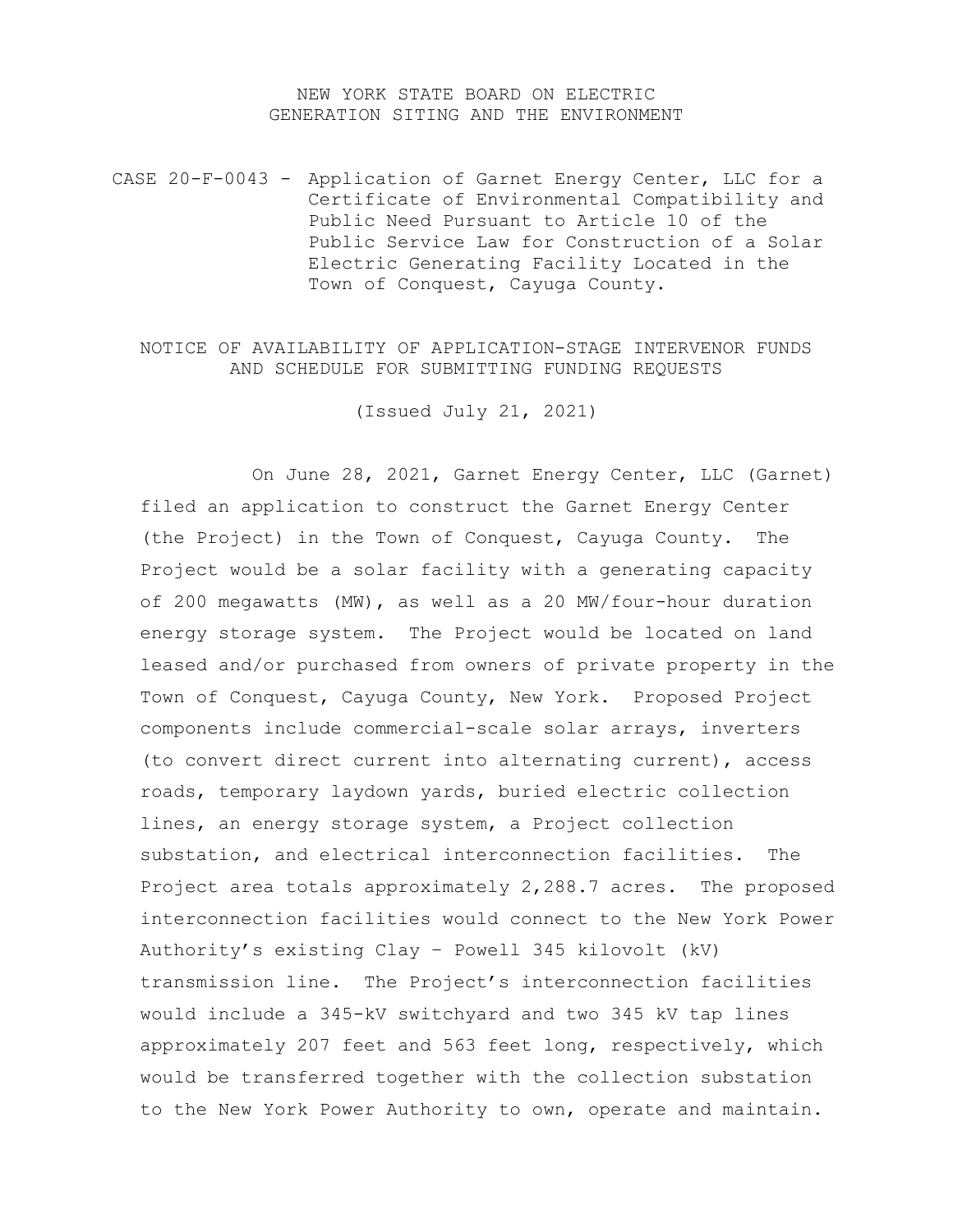## NEW YORK STATE BOARD ON ELECTRIC GENERATION SITING AND THE ENVIRONMENT

CASE 20-F-0043 - Application of Garnet Energy Center, LLC for a Certificate of Environmental Compatibility and Public Need Pursuant to Article 10 of the Public Service Law for Construction of a Solar Electric Generating Facility Located in the Town of Conquest, Cayuga County.

## NOTICE OF AVAILABILITY OF APPLICATION-STAGE INTERVENOR FUNDS AND SCHEDULE FOR SUBMITTING FUNDING REQUESTS

(Issued July 21, 2021)

On June 28, 2021, Garnet Energy Center, LLC (Garnet) filed an application to construct the Garnet Energy Center (the Project) in the Town of Conquest, Cayuga County. The Project would be a solar facility with a generating capacity of 200 megawatts (MW), as well as a 20 MW/four-hour duration energy storage system. The Project would be located on land leased and/or purchased from owners of private property in the Town of Conquest, Cayuga County, New York. Proposed Project components include commercial-scale solar arrays, inverters (to convert direct current into alternating current), access roads, temporary laydown yards, buried electric collection lines, an energy storage system, a Project collection substation, and electrical interconnection facilities. The Project area totals approximately 2,288.7 acres. The proposed interconnection facilities would connect to the New York Power Authority's existing Clay – Powell 345 kilovolt (kV) transmission line. The Project's interconnection facilities would include a 345-kV switchyard and two 345 kV tap lines approximately 207 feet and 563 feet long, respectively, which would be transferred together with the collection substation to the New York Power Authority to own, operate and maintain.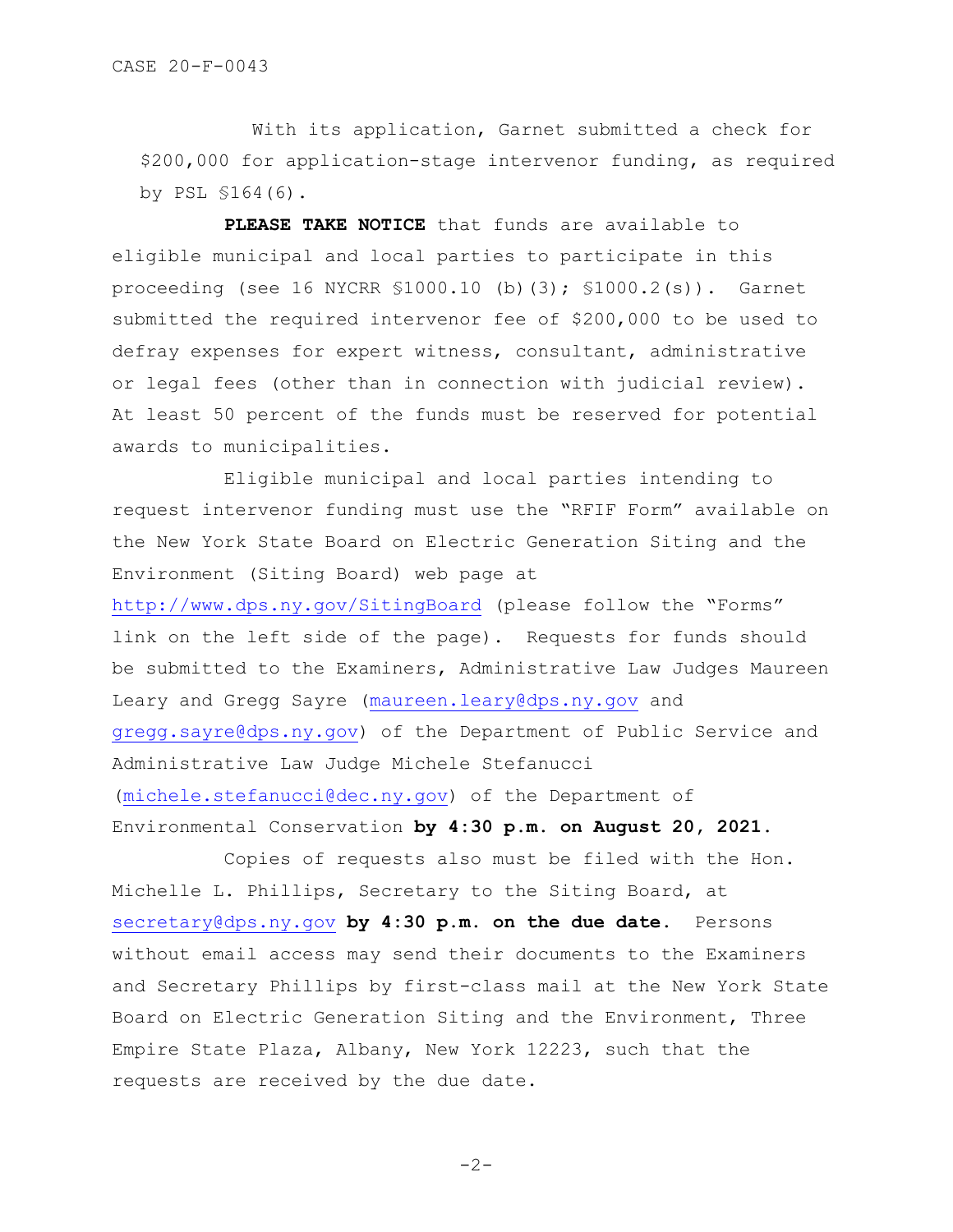With its application, Garnet submitted a check for \$200,000 for application-stage intervenor funding, as required by PSL §164(6).

**PLEASE TAKE NOTICE** that funds are available to eligible municipal and local parties to participate in this proceeding (see 16 NYCRR §1000.10 (b)(3); §1000.2(s)). Garnet submitted the required intervenor fee of \$200,000 to be used to defray expenses for expert witness, consultant, administrative or legal fees (other than in connection with judicial review). At least 50 percent of the funds must be reserved for potential awards to municipalities.

Eligible municipal and local parties intending to request intervenor funding must use the "RFIF Form" available on the New York State Board on Electric Generation Siting and the Environment (Siting Board) web page at

<http://www.dps.ny.gov/SitingBoard> (please follow the "Forms" link on the left side of the page). Requests for funds should be submitted to the Examiners, Administrative Law Judges Maureen Leary and Gregg Sayre [\(maureen.leary@dps.ny.gov](mailto:maureen.leary@dps.ny.gov) and [gregg.sayre@dps.ny.gov\)](mailto:gregg.sayre@dps.ny.gov) of the Department of Public Service and Administrative Law Judge Michele Stefanucci [\(michele.stefanucci@dec.ny.gov\)](mailto:michele.stefanucci@dec.ny.gov) of the Department of Environmental Conservation **by 4:30 p.m. on August 20, 2021.**

Copies of requests also must be filed with the Hon. Michelle L. Phillips, Secretary to the Siting Board, at [secretary@dps.ny.gov](mailto:secretary@dps.ny.gov) **by 4:30 p.m. on the due date**. Persons without email access may send their documents to the Examiners and Secretary Phillips by first-class mail at the New York State Board on Electric Generation Siting and the Environment, Three Empire State Plaza, Albany, New York 12223, such that the requests are received by the due date.

-2-